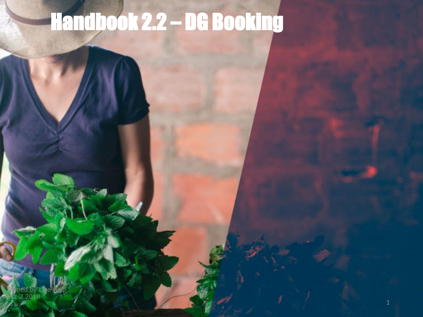# Handbook 2.2 – DG Booking

Owned by Live Help Oct 2 2018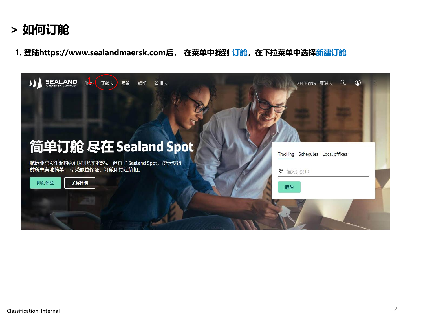- **> 如何订舱**
	- **1. 登陆https://www.sealandmaersk.com后, 在菜单中找到 订舱,在下拉菜单中选择新建订舱**

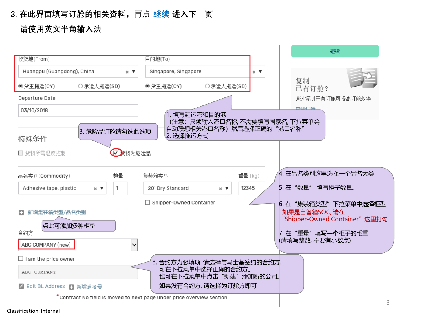# **3. 在此界面填写订舱的相关资料,再点 继续 进入下一页**

**请使用英文半角输入法**

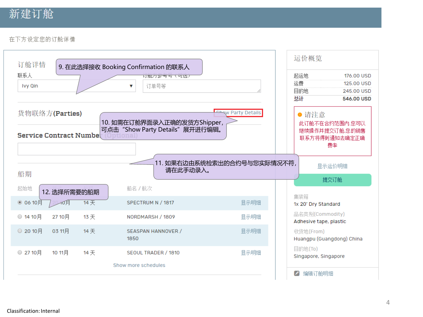#### 在下方设定您的订舱详情

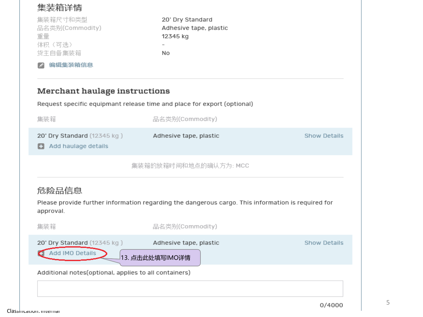集装箱尺寸和类型 品名类别(Commodity) 重量 体积(可选) 货主自备集装箱

◎ 编辑集装箱信息

Merchant haulage instructions

Request specific equipmant release time and place for export (optional)

| 集装箱                                                                                                                                                | 品名类别(Commodity)                           |                     |  |  |
|----------------------------------------------------------------------------------------------------------------------------------------------------|-------------------------------------------|---------------------|--|--|
| 20' Dry Standard (12345 kg)<br>Add haulage details<br>÷                                                                                            | Adhesive tape, plastic                    | <b>Show Details</b> |  |  |
|                                                                                                                                                    | 集装箱的放箱时间和地点的确认方为: MCC                     |                     |  |  |
| 危险品信息<br>Please provide further information regarding the dangerous cargo. This information is required for<br>approval.<br>集装箱<br>品名类别(Commodity) |                                           |                     |  |  |
| 20' Dry Standard (12345 kg)<br><b>Add IMO Details</b>                                                                                              | Adhesive tape, plastic<br>13. 点击此处填写IMO详情 | <b>Show Details</b> |  |  |
| Additional notes(optional, applies to all containers)                                                                                              |                                           | 0/4000              |  |  |

20' Dry Standard

12345 kg

 $-$ 

No

Adhesive tape, plastic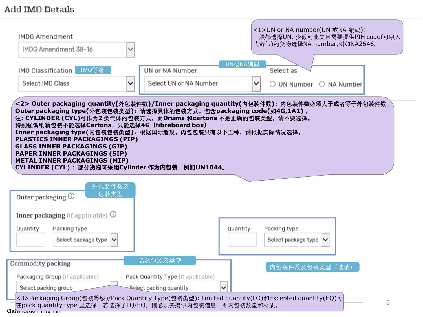## Add IMO Details

| <b>IMDG Amendment</b>                                                                                                                                                                                                                                                                      |                                    |          | <1>UN or NA number(UN 或NA 编码):<br>一般都选择UN, 少数到北美且需要提供PIH code(可吸入 |
|--------------------------------------------------------------------------------------------------------------------------------------------------------------------------------------------------------------------------------------------------------------------------------------------|------------------------------------|----------|-------------------------------------------------------------------|
| IMDG Amendment 38-16                                                                                                                                                                                                                                                                       |                                    |          | 式毒气)的货物选择NA number,例如NA2646.                                      |
| IMO等级<br>IMO Classification                                                                                                                                                                                                                                                                | UN or NA Number                    | UN或NA编码  | Select as                                                         |
| Select IMO Class                                                                                                                                                                                                                                                                           | Select UN or NA Number             | ✓        | $\bigcirc$ UN Number $\bigcirc$ NA Number                         |
| Inner packaging type(内包装包装类型): 根据国际危规, 内包包装只有以下五种, 请根据实际情况选择。<br><b>PLASTICS INNER PACKAGINGS (PIP)</b><br><b>GLASS INNER PACKAGINGS (GIP)</b><br><b>PAPER INNER PACKAGINGS (SIP)</b><br><b>METAL INNER PACKAGINGS (MIP)</b><br>CYLINDER (CYL): 部分货物可采用Cylinder 作为内包装, 例如UN1044。<br>外包装件数及 |                                    |          |                                                                   |
| 包装类型<br>Outer packaging $\odot$                                                                                                                                                                                                                                                            |                                    |          |                                                                   |
| <b>Inner packaging</b> (if applicable) $\overline{\mathbb{O}}$                                                                                                                                                                                                                             |                                    |          |                                                                   |
| Quantity<br>Packing type<br>Select package type                                                                                                                                                                                                                                            |                                    | Quantity | Packing type<br>Select package type                               |
| <b>Commodity packing</b>                                                                                                                                                                                                                                                                   | 品名包装及类型                            |          | 内包装件数及包装类型 (选填)                                                   |
| Packaging Group (if applicable)                                                                                                                                                                                                                                                            | Pack Quantity Type (if applicable) |          |                                                                   |
| Select packing group                                                                                                                                                                                                                                                                       | Select packing quantity            |          |                                                                   |
| <3>Packaging Group(包装等级)/Pack Quantity Type(包装类型): Limited quantity(LQ)和Excepted quantity(EQ)可<br>在pack quantity type 里选择, 若选择了LQ/EQ, 则必须要提供内包装信息, 即内包装数量和材质。                                                                                                                              |                                    |          | 6                                                                 |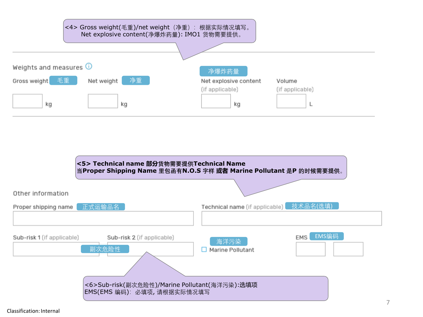

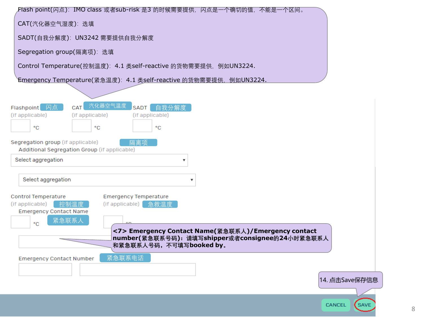| Flash point(闪点):IMO class 或者sub-risk 是3 的时候需要提供,闪点是一个确切的值,不能是一个区间。                                                                                                                                                                           |
|----------------------------------------------------------------------------------------------------------------------------------------------------------------------------------------------------------------------------------------------|
| CAT(汽化器空气湿度): 选填                                                                                                                                                                                                                             |
| SADT(自我分解度): UN3242 需要提供自我分解度                                                                                                                                                                                                                |
| Segregation group(隔离项): 选填                                                                                                                                                                                                                   |
| Control Temperature(控制温度): 4.1 类self-reactive 的货物需要提供, 例如UN3224.                                                                                                                                                                             |
| Emergency Temperature(紧急温度): 4.1 类self-reactive 的货物需要提供, 例如UN3224.                                                                                                                                                                           |
|                                                                                                                                                                                                                                              |
| 汽化器空气温度<br>Flashpoint 闪点<br>自我分解度<br><b>CAT</b><br><b>SADT</b><br>(if applicable)<br>(if applicable)<br>(if applicable)<br>$^{\circ}$ C<br>$^{\circ}$ C<br>°C                                                                                |
| Segregation group (if applicable)<br>隔离项<br>Additional Segregation Group (if applicable)                                                                                                                                                     |
| Select aggregation<br>$\boldsymbol{\mathrm{v}}$                                                                                                                                                                                              |
| Select aggregation<br>$\overline{\mathbf{v}}$                                                                                                                                                                                                |
| <b>Control Temperature</b><br><b>Emergency Temperature</b><br>(if applicable) 急救温度<br><b>Emergency Contact Name</b><br>紧急联系人<br>°C<br><7> Emergency Contact Name(紧急联系人)/Emergency contact<br>number(紧急联系号码): 请填写shipper或者consignee的24小时紧急联系人 |
| 和紧急联系人号码,不可填写booked by。                                                                                                                                                                                                                      |
| 紧急联系电话<br><b>Emergency Contact Number</b><br>14. 点击Save保存信息                                                                                                                                                                                  |
| <b>CANCEL</b>                                                                                                                                                                                                                                |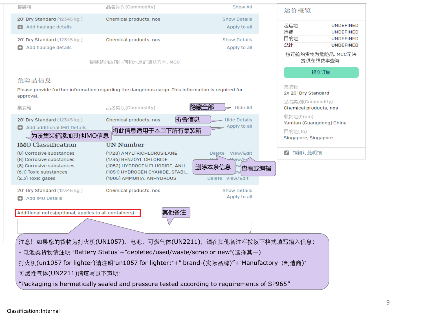| 集装箱<br>品名类别(Commodity)<br><b>Show All</b><br>运价概览<br><b>Show Details</b><br>20' Dry Standard (12345 kg)<br>Chemical products, nos<br>起运地<br><b>UNDEFINED</b><br>Add haulage details<br>Apply to all<br>运费<br><b>UNDEFINED</b><br>目的地<br><b>UNDEFINED</b><br>20' Dry Standard (12345 kg)<br>Chemical products, nos<br><b>Show Details</b><br>总计<br><b>UNDEFINED</b><br>Add haulage details<br>Apply to all<br>您订舱的货物为危险品, MCC无法<br>提供在线费率查询.<br>集装箱的放箱时间和地点的确认方为: MCC<br>提交订舱<br>危险品信息<br>集装箱<br>Please provide further information regarding the dangerous cargo. This information is required for<br>2x 20' Dry Standard<br>approval.<br>品名类别(Commodity)<br>隐藏全部<br>集装箱<br>品名类别(Commodity)<br><b>Hide All</b><br>Chemical products, nos<br>收货地(From)<br>折叠信息<br><b>Hide Details</b><br>20' Dry Standard (12345 kg)<br>Chemical products, nos<br>Yantian (Guangdong) China<br>Apply to all<br>Add additional IMO Details<br>将此信息适用于本单下所有集装箱<br>目的地(To)<br>为该集装箱添加其他IMO信息<br>Singapore, Singapore<br><b>IMO</b> Classification<br>UN Number<br>☑ 编辑订舱明细<br>(8) Corrosive substances<br>(1728) AMYLTRICHLOROSILANE<br>Delete View/Edit<br>(8) Corrosive substances<br>(1736) BENZOYL CHLORIDE<br>(8) Corrosive substances<br>(1052) HYDROGEN FLUORIDE, ANH<br>删除本条信息<br> 查看或编辑<br>(6.1) Toxic substances<br>(1051) HYDROGEN CYANIDE, STABI<br>Delete View/Edit<br>(2.3) Toxic gases<br>(1005) AMMONIA, ANHYDROUS<br>20' Dry Standard (12345 kg)<br>Chemical products, nos<br><b>Show Details</b><br>Apply to all<br>Add IMO Details<br>其他备注<br>Additional notes(optional, applies to all containers)<br>注意!如果您的货物为打火机(UN1057)、电池、可燃气体(UN2211),请在其他备注栏按以下格式填写输入信息:<br>- 电池类货物请注明 "Battery Status"+"depleted/used/waste/scrap or new"(选择其一)<br>打火机(un1057 for lighter)请注明"un1057 for lighter:"+" brand-(实际品牌)"+"Manufactory (制造商)"<br>可燃性气体(UN2211)请填写以下声明:<br>"Packaging is hermetically sealed and pressure tested according to requirements of SP965" |  |  |  |  |  |  |  |
|------------------------------------------------------------------------------------------------------------------------------------------------------------------------------------------------------------------------------------------------------------------------------------------------------------------------------------------------------------------------------------------------------------------------------------------------------------------------------------------------------------------------------------------------------------------------------------------------------------------------------------------------------------------------------------------------------------------------------------------------------------------------------------------------------------------------------------------------------------------------------------------------------------------------------------------------------------------------------------------------------------------------------------------------------------------------------------------------------------------------------------------------------------------------------------------------------------------------------------------------------------------------------------------------------------------------------------------------------------------------------------------------------------------------------------------------------------------------------------------------------------------------------------------------------------------------------------------------------------------------------------------------------------------------------------------------------------------------------------------------------------------------------------------------------------------------------------------------------------------------------------------------------------------------------------------------------|--|--|--|--|--|--|--|
|                                                                                                                                                                                                                                                                                                                                                                                                                                                                                                                                                                                                                                                                                                                                                                                                                                                                                                                                                                                                                                                                                                                                                                                                                                                                                                                                                                                                                                                                                                                                                                                                                                                                                                                                                                                                                                                                                                                                                      |  |  |  |  |  |  |  |
|                                                                                                                                                                                                                                                                                                                                                                                                                                                                                                                                                                                                                                                                                                                                                                                                                                                                                                                                                                                                                                                                                                                                                                                                                                                                                                                                                                                                                                                                                                                                                                                                                                                                                                                                                                                                                                                                                                                                                      |  |  |  |  |  |  |  |
|                                                                                                                                                                                                                                                                                                                                                                                                                                                                                                                                                                                                                                                                                                                                                                                                                                                                                                                                                                                                                                                                                                                                                                                                                                                                                                                                                                                                                                                                                                                                                                                                                                                                                                                                                                                                                                                                                                                                                      |  |  |  |  |  |  |  |
|                                                                                                                                                                                                                                                                                                                                                                                                                                                                                                                                                                                                                                                                                                                                                                                                                                                                                                                                                                                                                                                                                                                                                                                                                                                                                                                                                                                                                                                                                                                                                                                                                                                                                                                                                                                                                                                                                                                                                      |  |  |  |  |  |  |  |
|                                                                                                                                                                                                                                                                                                                                                                                                                                                                                                                                                                                                                                                                                                                                                                                                                                                                                                                                                                                                                                                                                                                                                                                                                                                                                                                                                                                                                                                                                                                                                                                                                                                                                                                                                                                                                                                                                                                                                      |  |  |  |  |  |  |  |
|                                                                                                                                                                                                                                                                                                                                                                                                                                                                                                                                                                                                                                                                                                                                                                                                                                                                                                                                                                                                                                                                                                                                                                                                                                                                                                                                                                                                                                                                                                                                                                                                                                                                                                                                                                                                                                                                                                                                                      |  |  |  |  |  |  |  |
|                                                                                                                                                                                                                                                                                                                                                                                                                                                                                                                                                                                                                                                                                                                                                                                                                                                                                                                                                                                                                                                                                                                                                                                                                                                                                                                                                                                                                                                                                                                                                                                                                                                                                                                                                                                                                                                                                                                                                      |  |  |  |  |  |  |  |
|                                                                                                                                                                                                                                                                                                                                                                                                                                                                                                                                                                                                                                                                                                                                                                                                                                                                                                                                                                                                                                                                                                                                                                                                                                                                                                                                                                                                                                                                                                                                                                                                                                                                                                                                                                                                                                                                                                                                                      |  |  |  |  |  |  |  |
|                                                                                                                                                                                                                                                                                                                                                                                                                                                                                                                                                                                                                                                                                                                                                                                                                                                                                                                                                                                                                                                                                                                                                                                                                                                                                                                                                                                                                                                                                                                                                                                                                                                                                                                                                                                                                                                                                                                                                      |  |  |  |  |  |  |  |
|                                                                                                                                                                                                                                                                                                                                                                                                                                                                                                                                                                                                                                                                                                                                                                                                                                                                                                                                                                                                                                                                                                                                                                                                                                                                                                                                                                                                                                                                                                                                                                                                                                                                                                                                                                                                                                                                                                                                                      |  |  |  |  |  |  |  |
|                                                                                                                                                                                                                                                                                                                                                                                                                                                                                                                                                                                                                                                                                                                                                                                                                                                                                                                                                                                                                                                                                                                                                                                                                                                                                                                                                                                                                                                                                                                                                                                                                                                                                                                                                                                                                                                                                                                                                      |  |  |  |  |  |  |  |
|                                                                                                                                                                                                                                                                                                                                                                                                                                                                                                                                                                                                                                                                                                                                                                                                                                                                                                                                                                                                                                                                                                                                                                                                                                                                                                                                                                                                                                                                                                                                                                                                                                                                                                                                                                                                                                                                                                                                                      |  |  |  |  |  |  |  |
|                                                                                                                                                                                                                                                                                                                                                                                                                                                                                                                                                                                                                                                                                                                                                                                                                                                                                                                                                                                                                                                                                                                                                                                                                                                                                                                                                                                                                                                                                                                                                                                                                                                                                                                                                                                                                                                                                                                                                      |  |  |  |  |  |  |  |
|                                                                                                                                                                                                                                                                                                                                                                                                                                                                                                                                                                                                                                                                                                                                                                                                                                                                                                                                                                                                                                                                                                                                                                                                                                                                                                                                                                                                                                                                                                                                                                                                                                                                                                                                                                                                                                                                                                                                                      |  |  |  |  |  |  |  |
|                                                                                                                                                                                                                                                                                                                                                                                                                                                                                                                                                                                                                                                                                                                                                                                                                                                                                                                                                                                                                                                                                                                                                                                                                                                                                                                                                                                                                                                                                                                                                                                                                                                                                                                                                                                                                                                                                                                                                      |  |  |  |  |  |  |  |
|                                                                                                                                                                                                                                                                                                                                                                                                                                                                                                                                                                                                                                                                                                                                                                                                                                                                                                                                                                                                                                                                                                                                                                                                                                                                                                                                                                                                                                                                                                                                                                                                                                                                                                                                                                                                                                                                                                                                                      |  |  |  |  |  |  |  |
|                                                                                                                                                                                                                                                                                                                                                                                                                                                                                                                                                                                                                                                                                                                                                                                                                                                                                                                                                                                                                                                                                                                                                                                                                                                                                                                                                                                                                                                                                                                                                                                                                                                                                                                                                                                                                                                                                                                                                      |  |  |  |  |  |  |  |
|                                                                                                                                                                                                                                                                                                                                                                                                                                                                                                                                                                                                                                                                                                                                                                                                                                                                                                                                                                                                                                                                                                                                                                                                                                                                                                                                                                                                                                                                                                                                                                                                                                                                                                                                                                                                                                                                                                                                                      |  |  |  |  |  |  |  |
|                                                                                                                                                                                                                                                                                                                                                                                                                                                                                                                                                                                                                                                                                                                                                                                                                                                                                                                                                                                                                                                                                                                                                                                                                                                                                                                                                                                                                                                                                                                                                                                                                                                                                                                                                                                                                                                                                                                                                      |  |  |  |  |  |  |  |
|                                                                                                                                                                                                                                                                                                                                                                                                                                                                                                                                                                                                                                                                                                                                                                                                                                                                                                                                                                                                                                                                                                                                                                                                                                                                                                                                                                                                                                                                                                                                                                                                                                                                                                                                                                                                                                                                                                                                                      |  |  |  |  |  |  |  |
|                                                                                                                                                                                                                                                                                                                                                                                                                                                                                                                                                                                                                                                                                                                                                                                                                                                                                                                                                                                                                                                                                                                                                                                                                                                                                                                                                                                                                                                                                                                                                                                                                                                                                                                                                                                                                                                                                                                                                      |  |  |  |  |  |  |  |
|                                                                                                                                                                                                                                                                                                                                                                                                                                                                                                                                                                                                                                                                                                                                                                                                                                                                                                                                                                                                                                                                                                                                                                                                                                                                                                                                                                                                                                                                                                                                                                                                                                                                                                                                                                                                                                                                                                                                                      |  |  |  |  |  |  |  |
|                                                                                                                                                                                                                                                                                                                                                                                                                                                                                                                                                                                                                                                                                                                                                                                                                                                                                                                                                                                                                                                                                                                                                                                                                                                                                                                                                                                                                                                                                                                                                                                                                                                                                                                                                                                                                                                                                                                                                      |  |  |  |  |  |  |  |
|                                                                                                                                                                                                                                                                                                                                                                                                                                                                                                                                                                                                                                                                                                                                                                                                                                                                                                                                                                                                                                                                                                                                                                                                                                                                                                                                                                                                                                                                                                                                                                                                                                                                                                                                                                                                                                                                                                                                                      |  |  |  |  |  |  |  |
|                                                                                                                                                                                                                                                                                                                                                                                                                                                                                                                                                                                                                                                                                                                                                                                                                                                                                                                                                                                                                                                                                                                                                                                                                                                                                                                                                                                                                                                                                                                                                                                                                                                                                                                                                                                                                                                                                                                                                      |  |  |  |  |  |  |  |
|                                                                                                                                                                                                                                                                                                                                                                                                                                                                                                                                                                                                                                                                                                                                                                                                                                                                                                                                                                                                                                                                                                                                                                                                                                                                                                                                                                                                                                                                                                                                                                                                                                                                                                                                                                                                                                                                                                                                                      |  |  |  |  |  |  |  |
|                                                                                                                                                                                                                                                                                                                                                                                                                                                                                                                                                                                                                                                                                                                                                                                                                                                                                                                                                                                                                                                                                                                                                                                                                                                                                                                                                                                                                                                                                                                                                                                                                                                                                                                                                                                                                                                                                                                                                      |  |  |  |  |  |  |  |
|                                                                                                                                                                                                                                                                                                                                                                                                                                                                                                                                                                                                                                                                                                                                                                                                                                                                                                                                                                                                                                                                                                                                                                                                                                                                                                                                                                                                                                                                                                                                                                                                                                                                                                                                                                                                                                                                                                                                                      |  |  |  |  |  |  |  |
|                                                                                                                                                                                                                                                                                                                                                                                                                                                                                                                                                                                                                                                                                                                                                                                                                                                                                                                                                                                                                                                                                                                                                                                                                                                                                                                                                                                                                                                                                                                                                                                                                                                                                                                                                                                                                                                                                                                                                      |  |  |  |  |  |  |  |
|                                                                                                                                                                                                                                                                                                                                                                                                                                                                                                                                                                                                                                                                                                                                                                                                                                                                                                                                                                                                                                                                                                                                                                                                                                                                                                                                                                                                                                                                                                                                                                                                                                                                                                                                                                                                                                                                                                                                                      |  |  |  |  |  |  |  |
|                                                                                                                                                                                                                                                                                                                                                                                                                                                                                                                                                                                                                                                                                                                                                                                                                                                                                                                                                                                                                                                                                                                                                                                                                                                                                                                                                                                                                                                                                                                                                                                                                                                                                                                                                                                                                                                                                                                                                      |  |  |  |  |  |  |  |
|                                                                                                                                                                                                                                                                                                                                                                                                                                                                                                                                                                                                                                                                                                                                                                                                                                                                                                                                                                                                                                                                                                                                                                                                                                                                                                                                                                                                                                                                                                                                                                                                                                                                                                                                                                                                                                                                                                                                                      |  |  |  |  |  |  |  |
|                                                                                                                                                                                                                                                                                                                                                                                                                                                                                                                                                                                                                                                                                                                                                                                                                                                                                                                                                                                                                                                                                                                                                                                                                                                                                                                                                                                                                                                                                                                                                                                                                                                                                                                                                                                                                                                                                                                                                      |  |  |  |  |  |  |  |
|                                                                                                                                                                                                                                                                                                                                                                                                                                                                                                                                                                                                                                                                                                                                                                                                                                                                                                                                                                                                                                                                                                                                                                                                                                                                                                                                                                                                                                                                                                                                                                                                                                                                                                                                                                                                                                                                                                                                                      |  |  |  |  |  |  |  |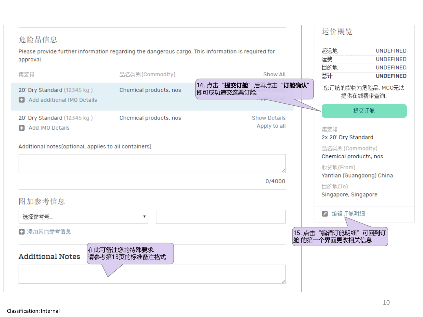| 危险品信息                                                                                                           |                                |                                                | 运价概览                                                                                           |
|-----------------------------------------------------------------------------------------------------------------|--------------------------------|------------------------------------------------|------------------------------------------------------------------------------------------------|
| Please provide further information regarding the dangerous cargo. This information is required for<br>approval. |                                |                                                | 起运地<br><b>UNDEFINED</b><br>运费<br><b>UNDEFINED</b><br>目的地<br><b>UNDEFINED</b>                   |
| 集装箱                                                                                                             | 品名类别(Commodity)                | <b>Show All</b>                                | 总计<br><b>UNDEFINED</b>                                                                         |
| 20' Dry Standard (12345 kg)<br>Add additional IMO Details<br>ы                                                  | Chemical products, nos         | 16. 点击"提交订舱"后再点击"订舱确认"<br>即可成功递交这票订舱.<br>to an | 您订舱的货物为危险品, MCC无法<br>提供在线费率查询.                                                                 |
| 20' Dry Standard (12345 kg)<br>Add IMO Details                                                                  | Chemical products, nos         | <b>Show Details</b><br>Apply to all            | 提交订舱<br>集装箱<br>2x 20' Dry Standard                                                             |
| Additional notes(optional, applies to all containers)                                                           |                                | 0/4000                                         | 品名类别(Commodity)<br>Chemical products, nos<br>收货地(From)<br>Yantian (Guangdong) China<br>目的地(To) |
| 附加参考信息                                                                                                          |                                |                                                | Singapore, Singapore                                                                           |
| 选择参考号                                                                                                           | ▼                              |                                                | 编辑订舱明细                                                                                         |
| ← 添加其他参考信息                                                                                                      |                                |                                                | 15. 点击"编辑订舱明细"可回到订<br>舱 的第一个界面更改相关信息                                                           |
| <b>Additional Notes</b>                                                                                         | 在此可备注您的特殊要求.<br>请参考第13页的标准备注格式 |                                                |                                                                                                |
|                                                                                                                 |                                |                                                |                                                                                                |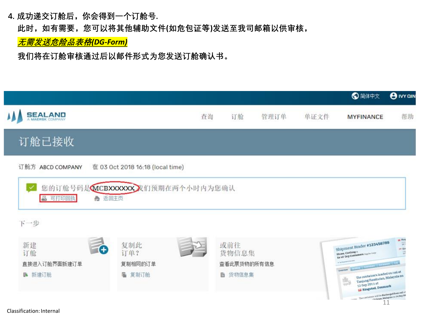- **4. 成功递交订舱后,你会得到一个订舱号.** 
	- **此时,如有需要,您可以将其他辅助文件(如危包证等)发送至我司邮箱以供审核,**

### **无需发送危险品表格***(DG-Form)*

**我们将在订舱审核通过后以邮件形式为您发送订舱确认书。**